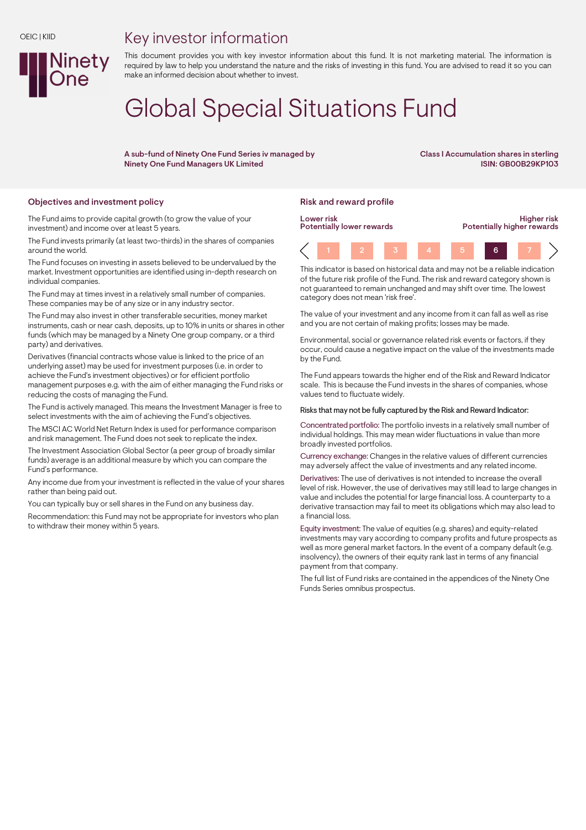## Key investor information



# Global Special Situations Fund

A sub-fund of Ninety One Fund Series iv managed by Ninety One Fund Managers UK Limited

Class I Accumulation shares in sterling ISIN: GB00B29KP103

## Objectives and investment policy **Risk and reward profile** Risk and reward profile

Ninety

The Fund aims to provide capital growth (to grow the value of your investment) and income over at least 5 years.

The Fund invests primarily (at least two-thirds) in the shares of companies around the world.

The Fund focuses on investing in assets believed to be undervalued by the market. Investment opportunities are identified using in-depth research on individual companies.

The Fund may at times invest in a relatively small number of companies. These companies may be of any size or in any industry sector.

The Fund may also invest in other transferable securities, money market instruments, cash or near cash, deposits, up to 10% in units or shares in other funds (which may be managed by a Ninety One group company, or a third party) and derivatives.

Derivatives (financial contracts whose value is linked to the price of an underlying asset) may be used for investment purposes (i.e. in order to achieve the Fund's investment objectives) or for efficient portfolio management purposes e.g. with the aim of either managing the Fund risks or reducing the costs of managing the Fund.

The Fund is actively managed. This means the Investment Manager is free to select investments with the aim of achieving the Fund's objectives.

The MSCI AC World Net Return Index is used for performance comparison and risk management. The Fund does not seek to replicate the index.

The Investment Association Global Sector (a peer group of broadly similar funds) average is an additional measure by which you can compare the Fund's performance.

Any income due from your investment is reflected in the value of your shares rather than being paid out.

You can typically buy or sell shares in the Fund on any business day.

Recommendation: this Fund may not be appropriate for investors who plan to withdraw their money within 5 years.



This indicator is based on historical data and may not be a reliable indication of the future risk profile of the Fund. The risk and reward category shown is not guaranteed to remain unchanged and may shift over time. The lowest category does not mean 'risk free'.

The value of your investment and any income from it can fall as well as rise and you are not certain of making profits; losses may be made.

Environmental, social or governance related risk events or factors, if they occur, could cause a negative impact on the value of the investments made by the Fund.

The Fund appears towards the higher end of the Risk and Reward Indicator scale. This is because the Fund invests in the shares of companies, whose values tend to fluctuate widely.

#### Risks that may not be fully captured by the Risk and Reward Indicator:

Concentrated portfolio: The portfolio invests in a relatively small number of individual holdings. This may mean wider fluctuations in value than more broadly invested portfolios.

Currency exchange: Changes in the relative values of different currencies may adversely affect the value of investments and any related income.

Derivatives: The use of derivatives is not intended to increase the overall level of risk. However, the use of derivatives may still lead to large changes in value and includes the potential for large financial loss. A counterparty to a derivative transaction may fail to meet its obligations which may also lead to a financial loss.

Equity investment: The value of equities (e.g. shares) and equity-related investments may vary according to company profits and future prospects as well as more general market factors. In the event of a company default (e.g. insolvency), the owners of their equity rank last in terms of any financial payment from that company.

The full list of Fund risks are contained in the appendices of the Ninety One Funds Series omnibus prospectus.